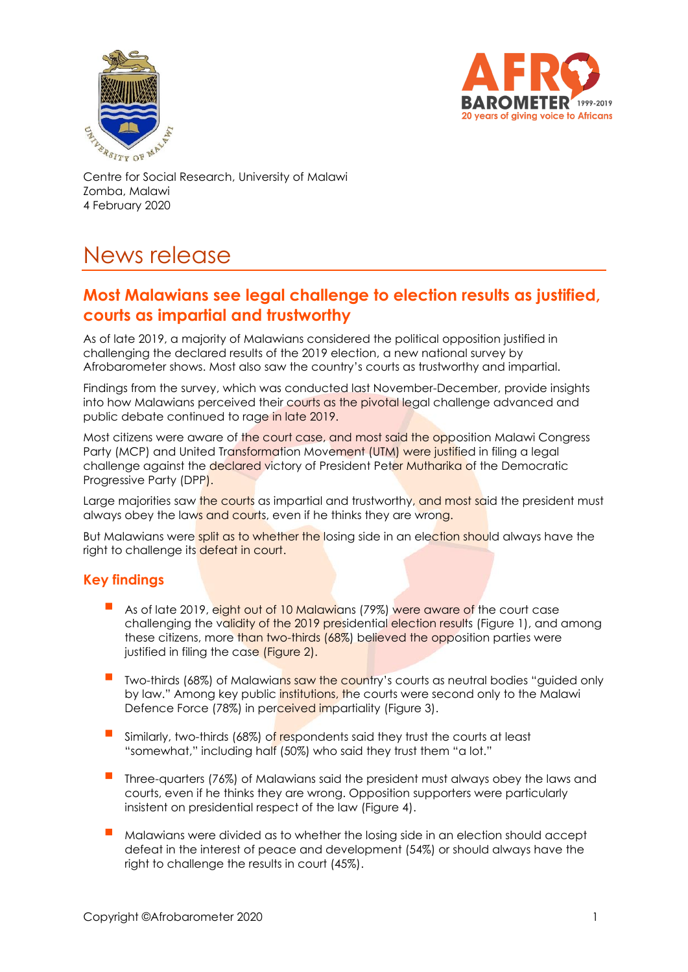



Zomba, Malawi 4 February 2020

# News release

## **Most Malawians see legal challenge to election results as justified, courts as impartial and trustworthy**

As of late 2019, a majority of Malawians considered the political opposition justified in challenging the declared results of the 2019 election, a new national survey by Afrobarometer shows. Most also saw the country's courts as trustworthy and impartial.

Findings from the survey, which was conducted last November-December, provide insights into how Malawians perceived their courts as the pivotal legal challenge advanced and public debate continued to rage in late 2019.

Most citizens were aware of the court case, and most said the opposition Malawi Congress Party (MCP) and United Transformation Movement (UTM) were justified in filing a legal challenge against the declared victory of President Peter Mutharika of the Democratic Progressive Party (DPP).

Large majorities saw the courts as impartial and trustworthy, and most said the president must always obey the laws and courts, even if he thinks they are wrong.

But Malawians were split as to whether the losing side in an election should always have the right to challenge its defeat in court.

#### **Key findings**

- As of late 2019, eight out of 10 Malawians (79%) were aware of the court case challenging the validity of the 2019 presidential election results (Figure 1), and among these citizens, more than two-thirds (68%) believed the opposition parties were justified in filing the case (Figure 2).
- Two-thirds (68%) of Malawians saw the country's courts as neutral bodies "guided only by law." Among key public institutions, the courts were second only to the Malawi Defence Force (78%) in perceived impartiality (Figure 3).
- Similarly, two-thirds (68%) of respondents said they trust the courts at least "somewhat," including half (50%) who said they trust them "a lot."
- Three-quarters (76%) of Malawians said the president must always obey the laws and courts, even if he thinks they are wrong. Opposition supporters were particularly insistent on presidential respect of the law (Figure 4).
- Malawians were divided as to whether the losing side in an election should accept defeat in the interest of peace and development (54%) or should always have the right to challenge the results in court (45%).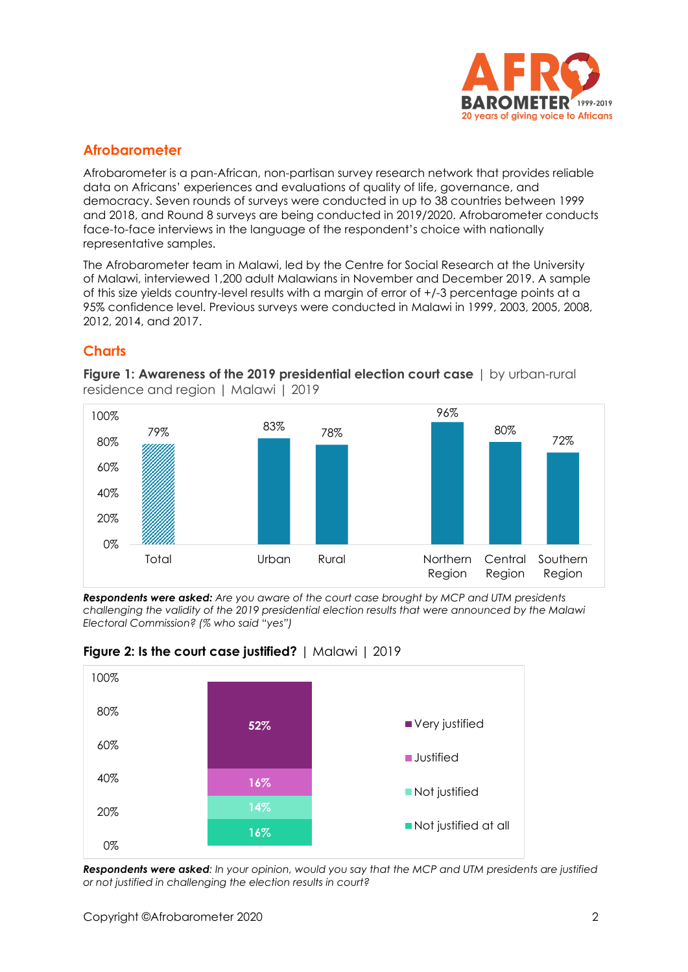

## **Afrobarometer**

Afrobarometer is a pan-African, non-partisan survey research network that provides reliable data on Africans' experiences and evaluations of quality of life, governance, and democracy. Seven rounds of surveys were conducted in up to 38 countries between 1999 and 2018, and Round 8 surveys are being conducted in 2019/2020. Afrobarometer conducts face-to-face interviews in the language of the respondent's choice with nationally representative samples.

The Afrobarometer team in Malawi, led by the Centre for Social Research at the University of Malawi, interviewed 1,200 adult Malawians in November and December 2019. A sample of this size yields country-level results with a margin of error of +/-3 percentage points at a 95% confidence level. Previous surveys were conducted in Malawi in 1999, 2003, 2005, 2008, 2012, 2014, and 2017.

## **Charts**



**Figure 1: Awareness of the 2019 presidential election court case | by urban-rural** residence and region | Malawi | 2019

*Respondents were asked: Are you aware of the court case brought by MCP and UTM presidents challenging the validity of the 2019 presidential election results that were announced by the Malawi Electoral Commission? (% who said "yes")*





*Respondents were asked: In your opinion, would you say that the MCP and UTM presidents are justified or not justified in challenging the election results in court?*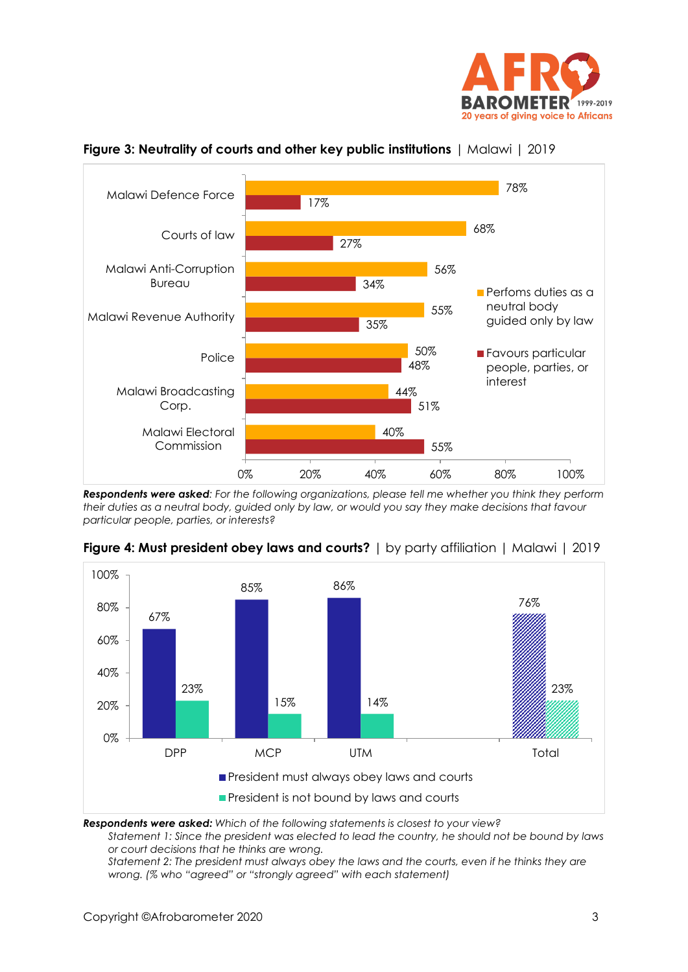



#### **Figure 3: Neutrality of courts and other key public institutions** | Malawi | 2019

*Respondents were asked: For the following organizations, please tell me whether you think they perform their duties as a neutral body, guided only by law, or would you say they make decisions that favour particular people, parties, or interests?*



**Figure 4: Must president obey laws and courts?** | by party affiliation | Malawi | 2019

*Respondents were asked: Which of the following statements is closest to your view?* 

*Statement 1: Since the president was elected to lead the country, he should not be bound by laws or court decisions that he thinks are wrong.* 

*Statement 2: The president must always obey the laws and the courts, even if he thinks they are wrong. (% who "agreed" or "strongly agreed" with each statement)*